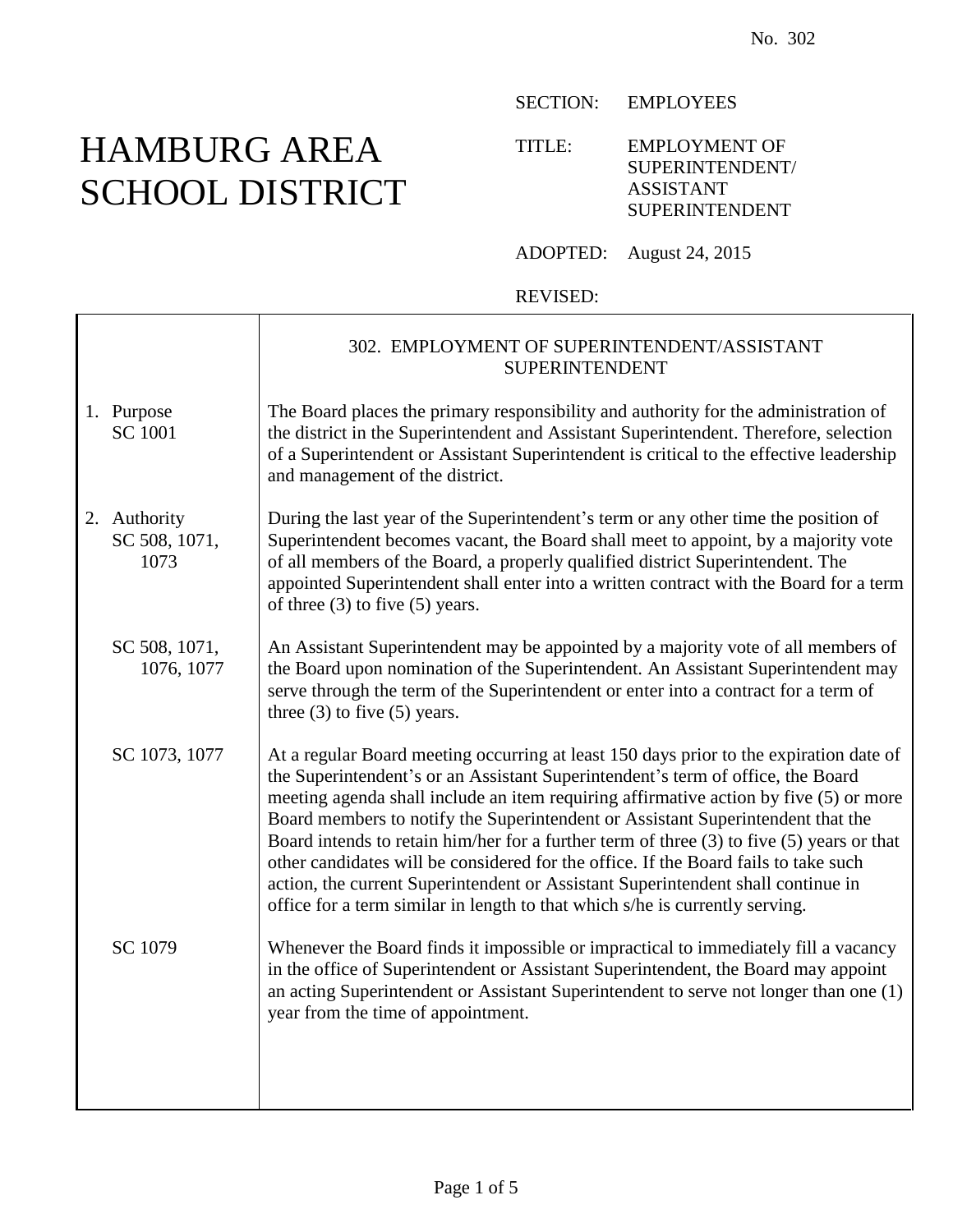# HAMBURG AREA SCHOOL DISTRICT

 $\mathbf{I}$ 

SECTION: EMPLOYEES

TITLE: EMPLOYMENT OF SUPERINTENDENT/ ASSISTANT SUPERINTENDENT

ADOPTED: August 24, 2015

#### REVISED:

|                                       | 302. EMPLOYMENT OF SUPERINTENDENT/ASSISTANT<br><b>SUPERINTENDENT</b>                                                                                                                                                                                                                                                                                                                                                                                                                                                                                                                                                                                                                                          |
|---------------------------------------|---------------------------------------------------------------------------------------------------------------------------------------------------------------------------------------------------------------------------------------------------------------------------------------------------------------------------------------------------------------------------------------------------------------------------------------------------------------------------------------------------------------------------------------------------------------------------------------------------------------------------------------------------------------------------------------------------------------|
| 1. Purpose<br><b>SC 1001</b>          | The Board places the primary responsibility and authority for the administration of<br>the district in the Superintendent and Assistant Superintendent. Therefore, selection<br>of a Superintendent or Assistant Superintendent is critical to the effective leadership<br>and management of the district.                                                                                                                                                                                                                                                                                                                                                                                                    |
| 2. Authority<br>SC 508, 1071,<br>1073 | During the last year of the Superintendent's term or any other time the position of<br>Superintendent becomes vacant, the Board shall meet to appoint, by a majority vote<br>of all members of the Board, a properly qualified district Superintendent. The<br>appointed Superintendent shall enter into a written contract with the Board for a term<br>of three $(3)$ to five $(5)$ years.                                                                                                                                                                                                                                                                                                                  |
| SC 508, 1071,<br>1076, 1077           | An Assistant Superintendent may be appointed by a majority vote of all members of<br>the Board upon nomination of the Superintendent. An Assistant Superintendent may<br>serve through the term of the Superintendent or enter into a contract for a term of<br>three $(3)$ to five $(5)$ years.                                                                                                                                                                                                                                                                                                                                                                                                              |
| SC 1073, 1077                         | At a regular Board meeting occurring at least 150 days prior to the expiration date of<br>the Superintendent's or an Assistant Superintendent's term of office, the Board<br>meeting agenda shall include an item requiring affirmative action by five (5) or more<br>Board members to notify the Superintendent or Assistant Superintendent that the<br>Board intends to retain him/her for a further term of three (3) to five (5) years or that<br>other candidates will be considered for the office. If the Board fails to take such<br>action, the current Superintendent or Assistant Superintendent shall continue in<br>office for a term similar in length to that which s/he is currently serving. |
| SC 1079                               | Whenever the Board finds it impossible or impractical to immediately fill a vacancy<br>in the office of Superintendent or Assistant Superintendent, the Board may appoint<br>an acting Superintendent or Assistant Superintendent to serve not longer than one (1)<br>year from the time of appointment.                                                                                                                                                                                                                                                                                                                                                                                                      |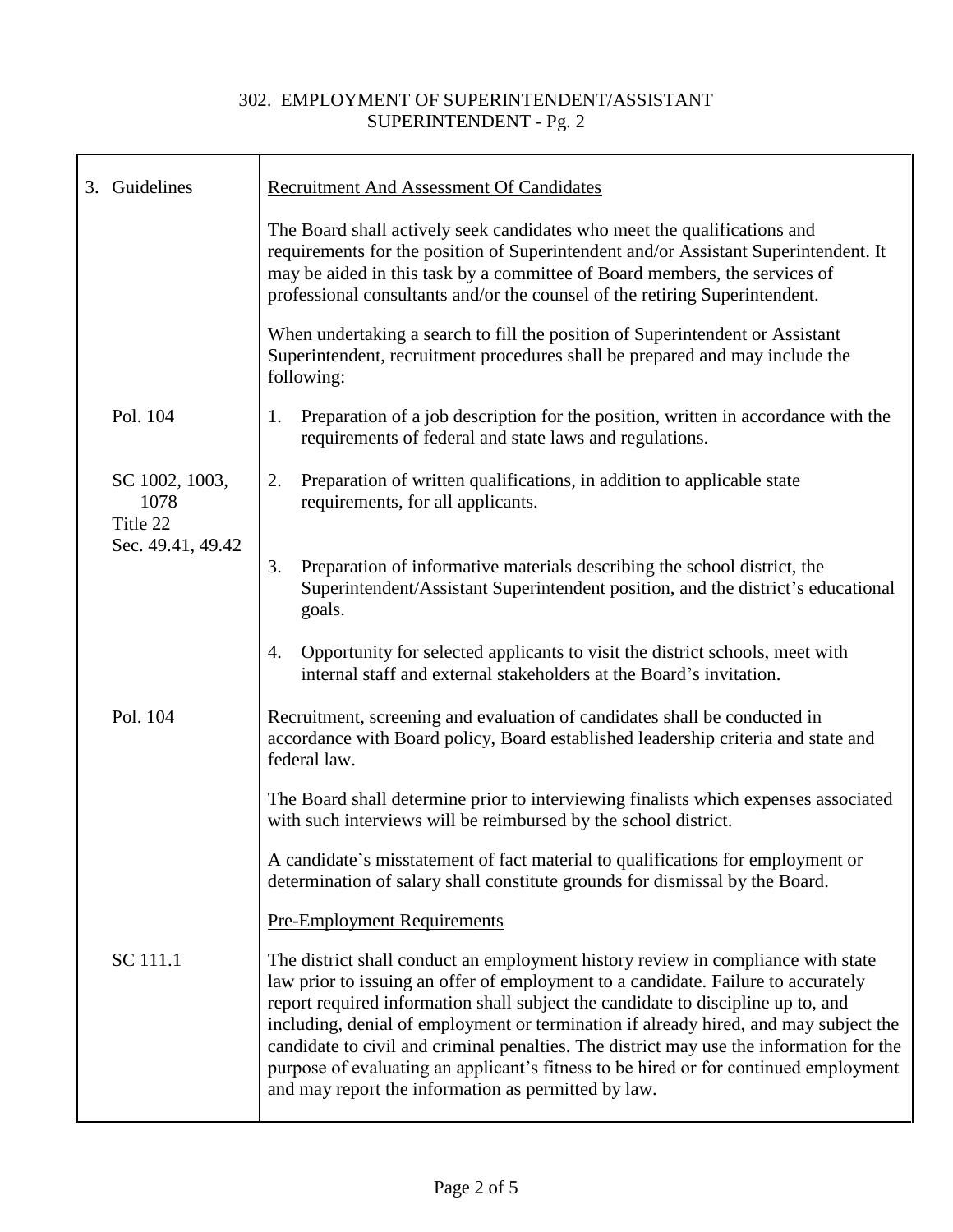|  | 3. Guidelines                      | <b>Recruitment And Assessment Of Candidates</b>                                                                                                                                                                                                                                                                                                                                                                                                                                                                                                                                             |
|--|------------------------------------|---------------------------------------------------------------------------------------------------------------------------------------------------------------------------------------------------------------------------------------------------------------------------------------------------------------------------------------------------------------------------------------------------------------------------------------------------------------------------------------------------------------------------------------------------------------------------------------------|
|  |                                    | The Board shall actively seek candidates who meet the qualifications and<br>requirements for the position of Superintendent and/or Assistant Superintendent. It<br>may be aided in this task by a committee of Board members, the services of<br>professional consultants and/or the counsel of the retiring Superintendent.                                                                                                                                                                                                                                                                |
|  |                                    | When undertaking a search to fill the position of Superintendent or Assistant<br>Superintendent, recruitment procedures shall be prepared and may include the<br>following:                                                                                                                                                                                                                                                                                                                                                                                                                 |
|  | Pol. 104                           | Preparation of a job description for the position, written in accordance with the<br>1.<br>requirements of federal and state laws and regulations.                                                                                                                                                                                                                                                                                                                                                                                                                                          |
|  | SC 1002, 1003,<br>1078<br>Title 22 | Preparation of written qualifications, in addition to applicable state<br>2.<br>requirements, for all applicants.                                                                                                                                                                                                                                                                                                                                                                                                                                                                           |
|  | Sec. 49.41, 49.42                  | Preparation of informative materials describing the school district, the<br>3.<br>Superintendent/Assistant Superintendent position, and the district's educational<br>goals.                                                                                                                                                                                                                                                                                                                                                                                                                |
|  |                                    | Opportunity for selected applicants to visit the district schools, meet with<br>4.<br>internal staff and external stakeholders at the Board's invitation.                                                                                                                                                                                                                                                                                                                                                                                                                                   |
|  | Pol. 104                           | Recruitment, screening and evaluation of candidates shall be conducted in<br>accordance with Board policy, Board established leadership criteria and state and<br>federal law.                                                                                                                                                                                                                                                                                                                                                                                                              |
|  |                                    | The Board shall determine prior to interviewing finalists which expenses associated<br>with such interviews will be reimbursed by the school district.                                                                                                                                                                                                                                                                                                                                                                                                                                      |
|  |                                    | A candidate's misstatement of fact material to qualifications for employment or<br>determination of salary shall constitute grounds for dismissal by the Board.                                                                                                                                                                                                                                                                                                                                                                                                                             |
|  |                                    | <b>Pre-Employment Requirements</b>                                                                                                                                                                                                                                                                                                                                                                                                                                                                                                                                                          |
|  | SC 111.1                           | The district shall conduct an employment history review in compliance with state<br>law prior to issuing an offer of employment to a candidate. Failure to accurately<br>report required information shall subject the candidate to discipline up to, and<br>including, denial of employment or termination if already hired, and may subject the<br>candidate to civil and criminal penalties. The district may use the information for the<br>purpose of evaluating an applicant's fitness to be hired or for continued employment<br>and may report the information as permitted by law. |
|  |                                    |                                                                                                                                                                                                                                                                                                                                                                                                                                                                                                                                                                                             |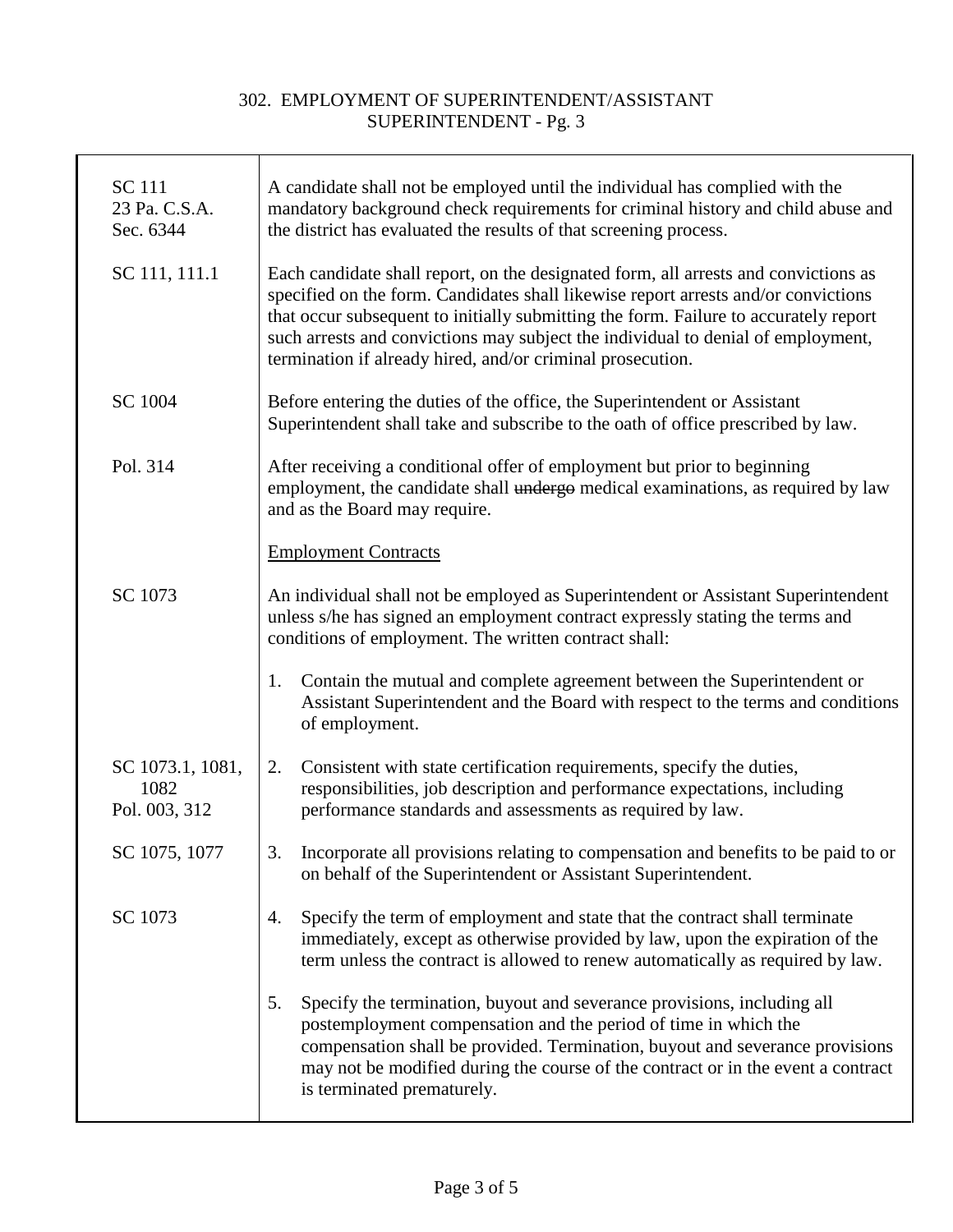| <b>SC</b> 111<br>23 Pa. C.S.A.<br>Sec. 6344 | A candidate shall not be employed until the individual has complied with the<br>mandatory background check requirements for criminal history and child abuse and<br>the district has evaluated the results of that screening process.                                                                                                                                                                               |
|---------------------------------------------|---------------------------------------------------------------------------------------------------------------------------------------------------------------------------------------------------------------------------------------------------------------------------------------------------------------------------------------------------------------------------------------------------------------------|
| SC 111, 111.1                               | Each candidate shall report, on the designated form, all arrests and convictions as<br>specified on the form. Candidates shall likewise report arrests and/or convictions<br>that occur subsequent to initially submitting the form. Failure to accurately report<br>such arrests and convictions may subject the individual to denial of employment,<br>termination if already hired, and/or criminal prosecution. |
| <b>SC 1004</b>                              | Before entering the duties of the office, the Superintendent or Assistant<br>Superintendent shall take and subscribe to the oath of office prescribed by law.                                                                                                                                                                                                                                                       |
| Pol. 314                                    | After receiving a conditional offer of employment but prior to beginning<br>employment, the candidate shall undergo medical examinations, as required by law<br>and as the Board may require.                                                                                                                                                                                                                       |
|                                             | <b>Employment Contracts</b>                                                                                                                                                                                                                                                                                                                                                                                         |
| SC 1073                                     | An individual shall not be employed as Superintendent or Assistant Superintendent<br>unless s/he has signed an employment contract expressly stating the terms and<br>conditions of employment. The written contract shall:                                                                                                                                                                                         |
|                                             | Contain the mutual and complete agreement between the Superintendent or<br>1.<br>Assistant Superintendent and the Board with respect to the terms and conditions<br>of employment.                                                                                                                                                                                                                                  |
| SC 1073.1, 1081,<br>1082<br>Pol. 003, 312   | Consistent with state certification requirements, specify the duties,<br>2.<br>responsibilities, job description and performance expectations, including<br>performance standards and assessments as required by law.                                                                                                                                                                                               |
| SC 1075, 1077                               | Incorporate all provisions relating to compensation and benefits to be paid to or<br>3.<br>on behalf of the Superintendent or Assistant Superintendent.                                                                                                                                                                                                                                                             |
| SC 1073                                     | Specify the term of employment and state that the contract shall terminate<br>4.<br>immediately, except as otherwise provided by law, upon the expiration of the<br>term unless the contract is allowed to renew automatically as required by law.                                                                                                                                                                  |
|                                             | Specify the termination, buyout and severance provisions, including all<br>5.<br>postemployment compensation and the period of time in which the<br>compensation shall be provided. Termination, buyout and severance provisions<br>may not be modified during the course of the contract or in the event a contract<br>is terminated prematurely.                                                                  |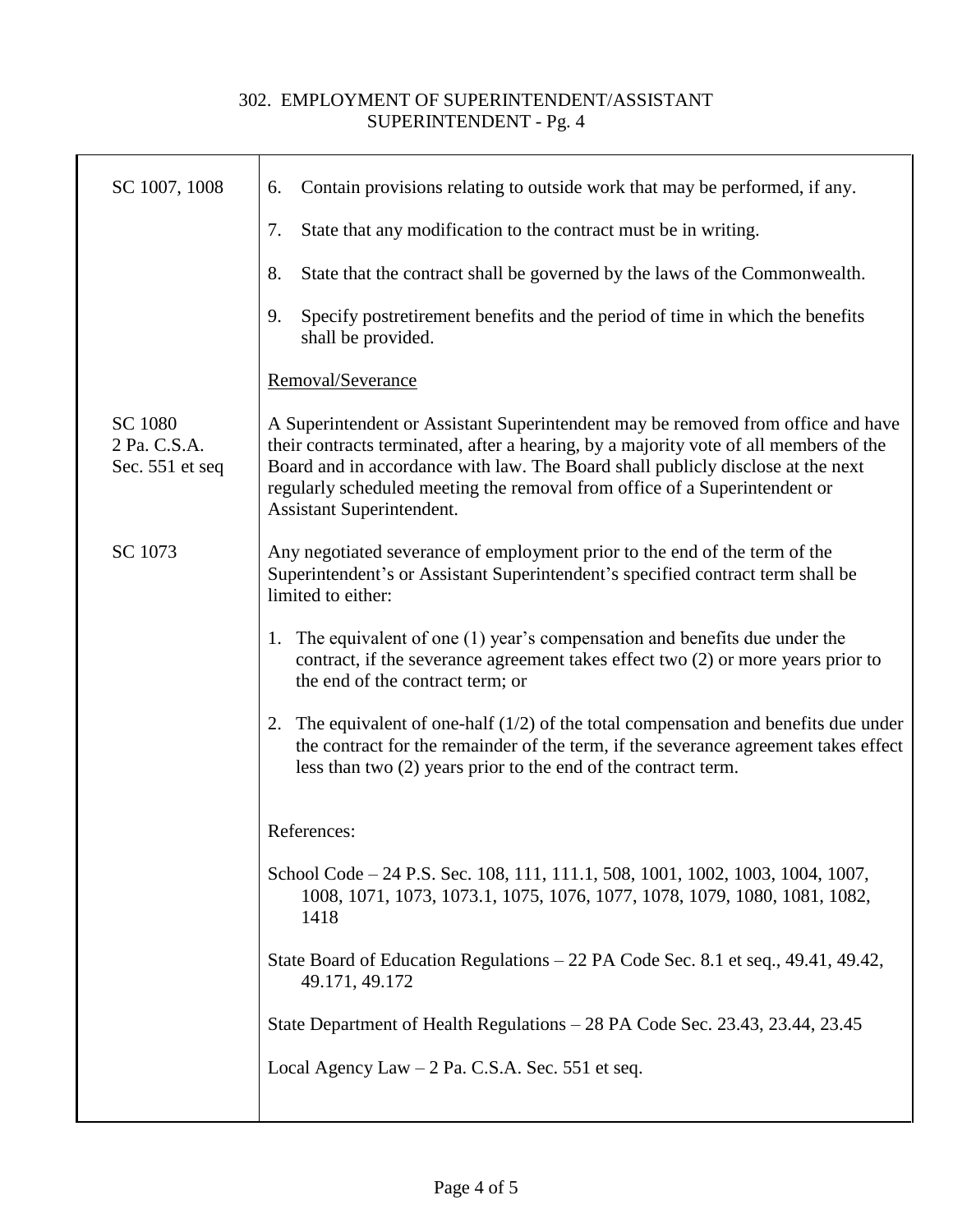┱

| SC 1007, 1008                                     | Contain provisions relating to outside work that may be performed, if any.<br>6.                                                                                                                                                                                                                                                                                        |
|---------------------------------------------------|-------------------------------------------------------------------------------------------------------------------------------------------------------------------------------------------------------------------------------------------------------------------------------------------------------------------------------------------------------------------------|
|                                                   | State that any modification to the contract must be in writing.<br>7.                                                                                                                                                                                                                                                                                                   |
|                                                   | State that the contract shall be governed by the laws of the Commonwealth.<br>8.                                                                                                                                                                                                                                                                                        |
|                                                   | Specify postretirement benefits and the period of time in which the benefits<br>9.<br>shall be provided.                                                                                                                                                                                                                                                                |
|                                                   | Removal/Severance                                                                                                                                                                                                                                                                                                                                                       |
| <b>SC 1080</b><br>2 Pa. C.S.A.<br>Sec. 551 et seq | A Superintendent or Assistant Superintendent may be removed from office and have<br>their contracts terminated, after a hearing, by a majority vote of all members of the<br>Board and in accordance with law. The Board shall publicly disclose at the next<br>regularly scheduled meeting the removal from office of a Superintendent or<br>Assistant Superintendent. |
| SC 1073                                           | Any negotiated severance of employment prior to the end of the term of the<br>Superintendent's or Assistant Superintendent's specified contract term shall be<br>limited to either:                                                                                                                                                                                     |
|                                                   | 1. The equivalent of one (1) year's compensation and benefits due under the<br>contract, if the severance agreement takes effect two (2) or more years prior to<br>the end of the contract term; or                                                                                                                                                                     |
|                                                   | 2. The equivalent of one-half $(1/2)$ of the total compensation and benefits due under<br>the contract for the remainder of the term, if the severance agreement takes effect<br>less than two (2) years prior to the end of the contract term.                                                                                                                         |
|                                                   | References:                                                                                                                                                                                                                                                                                                                                                             |
|                                                   | School Code – 24 P.S. Sec. 108, 111, 111.1, 508, 1001, 1002, 1003, 1004, 1007,<br>1008, 1071, 1073, 1073.1, 1075, 1076, 1077, 1078, 1079, 1080, 1081, 1082,<br>1418                                                                                                                                                                                                     |
|                                                   | State Board of Education Regulations – 22 PA Code Sec. 8.1 et seq., 49.41, 49.42,<br>49.171, 49.172                                                                                                                                                                                                                                                                     |
|                                                   | State Department of Health Regulations – 28 PA Code Sec. 23.43, 23.44, 23.45                                                                                                                                                                                                                                                                                            |
|                                                   | Local Agency Law $-2$ Pa. C.S.A. Sec. 551 et seq.                                                                                                                                                                                                                                                                                                                       |
|                                                   |                                                                                                                                                                                                                                                                                                                                                                         |